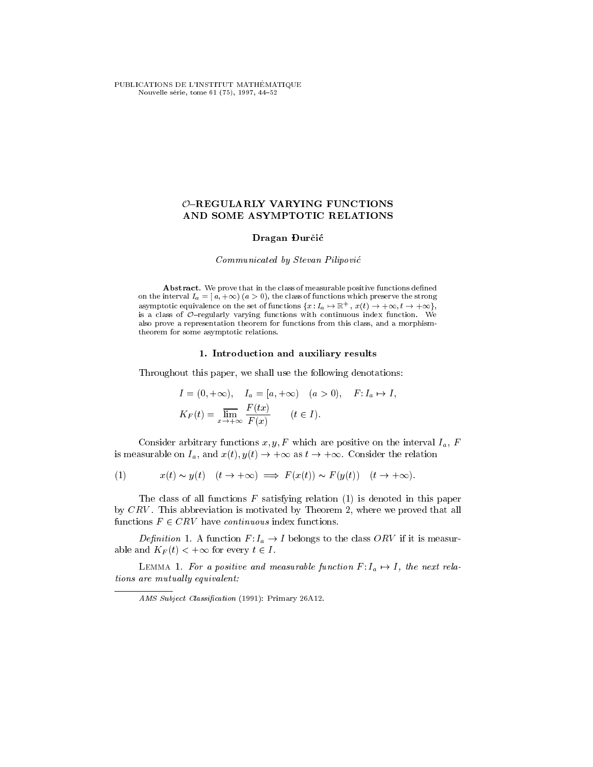PUBLICATIONS DE L'INSTITUT MATHÉMATIQUE Nouvelle série, tome 61 (75), 1997, 44-52

# $O$ -REGULARLY VARYING FUNCTIONS AND SOME ASYMPTOTIC RELATIONS

## Dragan Durčić

## Communicated by Stevan Pilipovic

Abstract. We prove that in the class of measurable positive functions defined on the interval  $I_a = [a, +\infty)$   $(a > 0)$ , the class of functions which preserve the strong asymptotic equivalence on the set of functions  $\{x : I_a \mapsto \mathbb{R}^+,\ x(t) \to +\infty, t \to +\infty\},$ is a class of  $O$ -regularly varying functions with continuous index function. We also prove a representation theorem for functions from this class, and a morphismtheorem for some asymptotic relations.

## 1. Introduction and auxiliary results

Throughout this paper, we shall use the following denotations:

$$
I = (0, +\infty), \quad I_a = [a, +\infty) \quad (a > 0), \quad F: I_a \mapsto I,
$$
  

$$
K_F(t) = \overline{\lim}_{x \to +\infty} \frac{F(tx)}{F(x)} \qquad (t \in I).
$$

Consider arbitrary functions  $x, y, F$  which are positive on the interval  $I_a$ , F is measurable on  $I_a$ , and  $x(t)$ ,  $y(t) \rightarrow +\infty$  as  $t \rightarrow +\infty$ . Consider the relation

(1) 
$$
x(t) \sim y(t)
$$
  $(t \to +\infty) \implies F(x(t)) \sim F(y(t))$   $(t \to +\infty)$ .

The class of all functions  $F$  satisfying relation  $(1)$  is denoted in this paper by CRV . This abbreviation is motivated by Theorem 2, where we proved that all functions  $F \in CRV$  have *continuous* index functions.

Definition 1. A function  $F: I_a \to I$  belongs to the class ORV if it is measurable and  $K_F(t) < +\infty$  for every  $t \in I$ .

LEMMA 1. For a positive and measurable function  $F: I_a \mapsto I$ , the next rela $tions$  are mutually equivalent:

AMS Subject Classification (1991): Primary 26A12.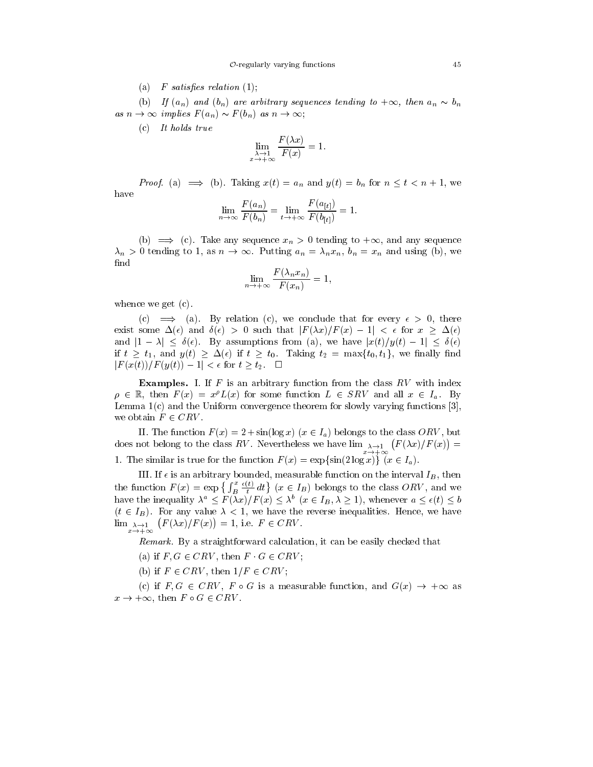(a)  $F$  satisfies relation (1);

(b) If  $(a_n)$  and  $(b_n)$  are arbitrary sequences tending to  $+\infty$ , then  $a_n \sim b_n$ as  $n \to \infty$  implies  $F(a_n) \sim F(b_n)$  as  $n \to \infty$ ;

(c) It holds true

$$
\lim_{\substack{\lambda \to 1 \\ x \to +\infty}} \frac{F(\lambda x)}{F(x)} = 1.
$$

*Proof.* (a)  $\implies$  (b). Taking  $x(t) = a_n$  and  $y(t) = b_n$  for  $n \le t < n + 1$ , we have

$$
\lim_{n \to \infty} \frac{F(a_n)}{F(b_n)} = \lim_{t \to +\infty} \frac{F(a_{[t]})}{F(b_{[t]})} = 1.
$$

(b)  $\implies$  (c). Take any sequence  $x_n > 0$  tending to  $+\infty$ , and any sequence  $\lambda_n > 0$  tending to 1, as  $n \to \infty$ . Putting  $a_n = \lambda_n x_n$ ,  $b_n = x_n$  and using (b), we find

$$
\lim_{n \to +\infty} \frac{F(\lambda_n x_n)}{F(x_n)} = 1,
$$

whence we get (c).

(c)  $\implies$  (a). By relation (c), we conclude that for every  $\epsilon > 0$ , there exist some  $\Delta(\epsilon)$  and  $\delta(\epsilon) > 0$  such that  $|F(\lambda x)/F(x)-1| < \epsilon$  for  $x \geq \Delta(\epsilon)$ and  $|1 - \lambda| \leq \delta(\epsilon)$ . By assumptions from (a), we have  $|x(t)/y(t) - 1| \leq \delta(\epsilon)$ if  $t \geq t_1$ , and  $y(t) \geq \Delta(\epsilon)$  if  $t \geq t_0$ . Taking  $t_2 = \max\{t_0, t_1\}$ , we finally find  $|F(x(t))/F(y(t)) - 1| < \epsilon$  for  $t \geq t_2$ .  $\Box$ 

**Examples.** I. If  $F$  is an arbitrary function from the class  $RV$  with index  $\rho \in \mathbb{R}$ , then  $F(x) = x^{\rho}L(x)$  for some function  $L \in SRV$  and all  $x \in I_a$ . By Lemma 1(c) and the Uniform convergence theorem for slowly varying functions [3], we obtain  $F \in CRV$ .

II. The function  $F(x) = 2 + \sin(\log x)$   $(x \in I_a)$  belongs to the class ORV, but does not belong to the class RV. Nevertheless we have  $\lim_{\lambda\to 1}$   $(F(\lambda x)/F(x))=$ 1. The similar is true for the function  $F(x) = \exp{\sin(2 \log x)} (x \in I_a)$ .

III. If  $\epsilon$  is an arbitrary bounded, measurable function on the interval  $I_B$ , then the function  $F(x) = \exp \left\{ \int_B^x \frac{\epsilon(t)}{t} dt \right\}$   $(x \in I_B)$  belongs to the class  $ORV$ , and we have the inequality  $\lambda^a \leq F(\lambda x)/F(x) \leq \lambda^b$   $(x \in I_B, \lambda \geq 1)$ , whenever  $a \leq \epsilon(t) \leq b$  $(t \in I_B)$ . For any value  $\lambda < 1$ , we have the reverse inequalities. Hence, we have  $\lim_{\lambda \to 1} (F(\lambda x)/F(x)) = 1$ , i.e.  $F \in CRV$ .

Remark. By a straightforward calculation, it can be easily checked that

(a) if  $F, G \in CRV$ , then  $F \cdot G \in CRV$ :

(b) if  $F \in CRV$ , then  $1/F \in CRV$ ;

x!+1

(c) if  $F, G \in CRV$ ,  $F \circ G$  is a measurable function, and  $G(x) \to +\infty$  as  $x \to +\infty$ , then  $F \circ G \in CRV$ .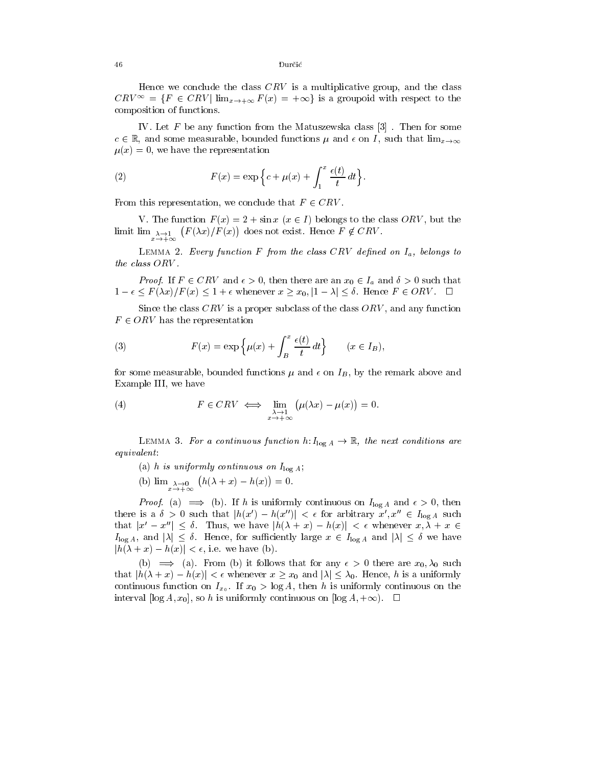Hence we conclude the class  $CRV$  is a multiplicative group, and the class  $CRV^{\infty} = \{F \in CRV \mid \lim_{x \to +\infty} F(x) = +\infty\}$  is a groupoid with respect to the composition of functions.

IV. Let  $F$  be any function from the Matuszewska class  $[3]$ . Then for some  $c \in \mathbb{R}$ , and some measurable, bounded functions  $\mu$  and  $\epsilon$  on I, such that  $\lim_{x\to\infty}$  $\mu(x) = 0$ , we have the representation

(2) 
$$
F(x) = \exp\left\{c + \mu(x) + \int_1^x \frac{\epsilon(t)}{t} dt\right\}.
$$

From this representation, we conclude that  $F \in CRV$ .

x!+1

V. The function  $F(x) = 2 + \sin x$   $(x \in I)$  belongs to the class ORV, but the limit lim  $\lambda \to 1$   $(F(\lambda x)/F(x))$  does not exist. Hence  $F \notin CRV$ .

LEMMA 2. Every function F from the class CRV defined on  $I_a$ , belongs to the class ORV .

*Proof.* If  $F \in CRV$  and  $\epsilon > 0$ , then there are an  $x_0 \in I_a$  and  $\delta > 0$  such that  $1 - \epsilon \leq F(\lambda x)/F(x) \leq 1 + \epsilon$  whenever  $x \geq x_0, |1 - \lambda| \leq \delta$ . Hence  $F \in ORV$ .  $\Box$ 

Since the class  $CRV$  is a proper subclass of the class  $ORV$ , and any function  $F \in ORV$  has the representation

(3) 
$$
F(x) = \exp\left\{\mu(x) + \int_B^x \frac{\epsilon(t)}{t} dt\right\} \qquad (x \in I_B),
$$

for some measurable, bounded functions  $\mu$  and  $\epsilon$  on  $I_B$ , by the remark above and Example III, we have

(4) 
$$
F \in CRV \iff \lim_{\substack{\lambda \to 1 \\ x \to +\infty}} (\mu(\lambda x) - \mu(x)) = 0.
$$

LEMMA 3. For a continuous function h:  $I_{\log A} \to \mathbb{R}$ , the next conditions are equivalent:

(a) h is uniformly continuous on  $I_{\log A}$ ; (b)  $\lim_{\lambda \to 0} (h(\lambda + x) - h(x)) = 0.$ 

x!+1

*Proof.* (a)  $\implies$  (b). If h is uniformly continuous on  $I_{\log A}$  and  $\epsilon > 0$ , then there is a  $\delta > 0$  such that  $|h(x') - h(x'')| < \epsilon$  for arbitrary  $x', x'' \in I_{\log A}$  such that  $|x'-x''| \leq \delta$ . Thus, we have  $|h(\lambda + x) - h(x)| < \epsilon$  whenever  $x, \lambda + x \in$  $I_{\log A}$ , and  $|\lambda| \leq \delta$ . Hence, for sufficiently large  $x \in I_{\log A}$  and  $|\lambda| \leq \delta$  we have  $|h(\lambda + x) - h(x)| < \epsilon$ , i.e. we have (b).

(b)  $\implies$  (a). From (b) it follows that for any  $\epsilon > 0$  there are  $x_0, \lambda_0$  such that  $|h(\lambda + x) - h(x)| < \epsilon$  whenever  $x \geq x_0$  and  $|\lambda| \leq \lambda_0$ . Hence, h is a uniformly continuous function on  $I_{x_0}$ . If  $x_0 > \log A$ , then h is uniformly continuous on the interval  $[\log A, x_0]$ , so h is uniformly continuous on  $[\log A, +\infty)$ .  $\Box$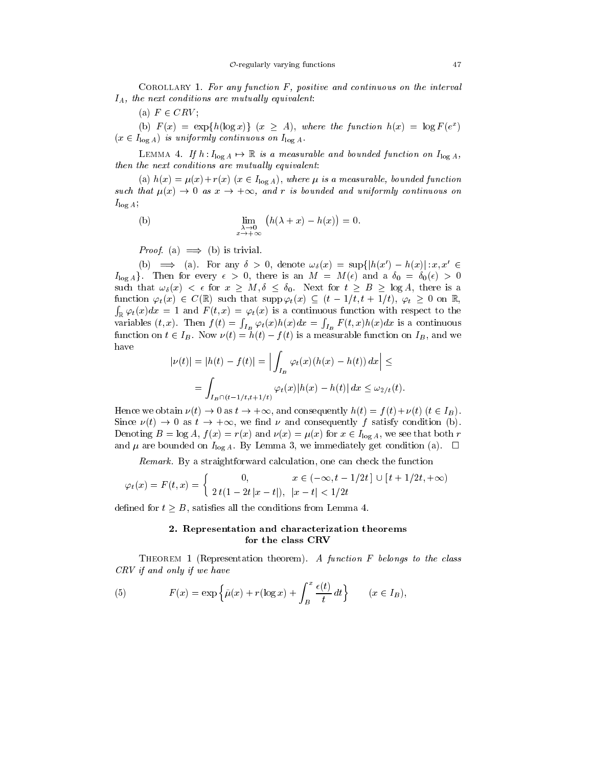COROLLARY 1. For any function  $F$ , positive and continuous on the interval  $I_A$ , the next conditions are mutually equivalent:

(a)  $F \in CRV$ ;

(b)  $F(x) = \exp\{h(\log x)\}$   $(x \ge A)$ , where the function  $h(x) = \log F(e^x)$  $(x \in I_{\log A})$  is uniformly continuous on  $I_{\log A}$ .

LEMMA 4. If  $h: I_{\log A} \mapsto \mathbb{R}$  is a measurable and bounded function on  $I_{\log A}$ , then the next conditions are mutually equivalent:

(a)  $h(x) = \mu(x) + r(x)$  ( $x \in I_{\log A}$ ), where  $\mu$  is a measurable, bounded function such that  $\mu(x) \to 0$  as  $x \to +\infty$ , and r is bounded and uniformly continuous on  $I_{\log A}$ ;

(b) 
$$
\lim_{\substack{\lambda \to 0 \\ x \to +\infty}} (h(\lambda + x) - h(x)) = 0.
$$

*Proof.* (a)  $\implies$  (b) is trivial.

(b)  $\implies$  (a). For any  $\delta > 0$ , denote  $\omega_{\delta}(x) = \sup\{|h(x') - h(x)| : x, x' \in$  $I_{\log A}$ . Then for every  $\epsilon > 0$ , there is an  $M = M(\epsilon)$  and a  $\delta_0 = \delta_0(\epsilon) > 0$ such that  $\omega_{\delta}(x) < \epsilon$  for  $x \geq M, \delta \leq \delta_0$ . Next for  $t \geq B \geq \log A$ , there is a function  $\varphi_t(x) \in C(\mathbb{R})$  such that  $\text{supp }\varphi_t(x) \subseteq (t - 1/t, t + 1/t), \varphi_t \geq 0$  on  $\mathbb{R}$ ,  $\int_{\mathbb{R}} \varphi_t(x) dx = 1$  and  $F(t, x) = \varphi_t(x)$  is a continuous function with respect to the variables  $(t, x)$ . Then  $f(t) = \int_{I_B} \varphi_t(x)h(x)dx = \int_{I_B} F(t, x)h(x)dx$  $I_B$  for  $\vee$  is a continuous continuous continuous continuous continuous continuous continuous continuous continuous continuous continuous continuous continuous continuous continuous continuous continuous continuous con function on  $t \in I_B$ . Now  $\nu(t) = h(t) - f(t)$  is a measurable function on  $I_B$ , and we have

$$
|\nu(t)| = |h(t) - f(t)| = \Big| \int_{I_B} \varphi_t(x) (h(x) - h(t)) dx \Big| \le
$$
  
= 
$$
\int_{I_B \cap (t-1/t, t+1/t)} \varphi_t(x) |h(x) - h(t)| dx \le \omega_{2/t}(t).
$$

Hence we obtain  $\nu(t) \to 0$  as  $t \to +\infty$ , and consequently  $h(t) = f(t)+\nu(t)$   $(t \in I_B)$ . Since  $\nu(t) \to 0$  as  $t \to +\infty$ , we find  $\nu$  and consequently f satisfy condition (b). Denoting  $B = \log A$ ,  $f(x) = r(x)$  and  $\nu(x) = \mu(x)$  for  $x \in I_{\log A}$ , we see that both r and  $\mu$  are bounded on  $I_{\log A}$ . By Lemma 3, we immediately get condition (a).  $\Box$ 

Remark. By a straightforward calculation, one can check the function

$$
\varphi_t(x) = F(t, x) = \begin{cases} 0, & x \in (-\infty, t - 1/2t] \cup [t + 1/2t, +\infty) \\ 2t(1 - 2t|x - t|), & |x - t| < 1/2t \end{cases}
$$

defined for  $t > B$ , satisfies all the conditions from Lemma 4.

## 2. Representation and characterization theorems for the class CRV

THEOREM 1 (Representation theorem). A function  $F$  belongs to the class CRV if and only if we have

(5) 
$$
F(x) = \exp \left\{ \tilde{\mu}(x) + r(\log x) + \int_B^x \frac{\epsilon(t)}{t} dt \right\} \qquad (x \in I_B),
$$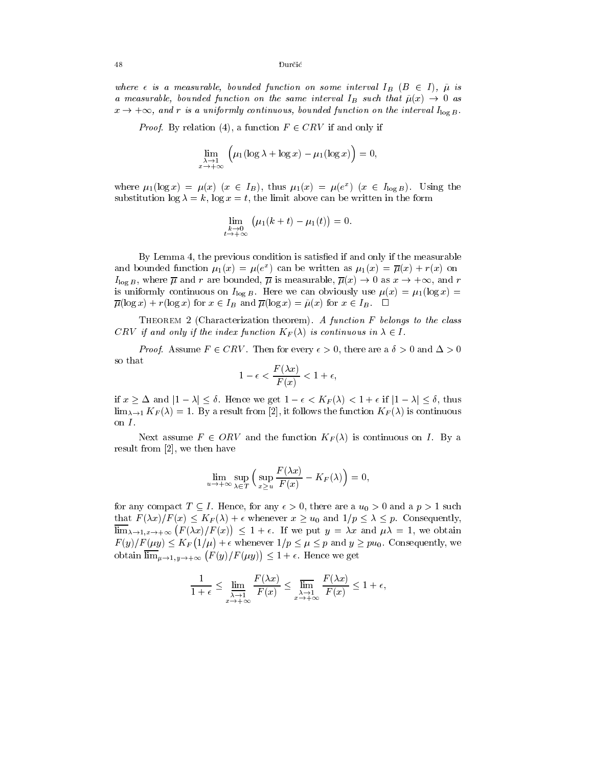where  $\epsilon$  is a measurable, bounded function on some interval  $I_B$   $(B \in I)$ ,  $\tilde{\mu}$  is a measurable, bounded function on the same interval  $I_B$  such that  $\tilde{\mu}(x) \to 0$  as  $x \to +\infty$ , and r is a uniformly continuous, bounded function on the interval  $I_{\log B}$ .

*Proof.* By relation (4), a function  $F \in CRV$  if and only if

$$
\lim_{\substack{\lambda \to 1 \\ x \to +\infty}} \left( \mu_1(\log \lambda + \log x) - \mu_1(\log x) \right) = 0,
$$

where  $\mu_1(\log x) = \mu(x)$  ( $x \in I_B$ ), thus  $\mu_1(x) = \mu(e^x)$  ( $x \in I_{\log B}$ ). Using the substitution  $\log \lambda = k$ ,  $\log x = t$ , the limit above can be written in the form

$$
\lim_{\substack{k\to 0\\t\to +\infty}}\left(\mu_1(k+t)-\mu_1(t)\right)=0.
$$

By Lemma 4, the previous condition is satised if and only if the measurable and bounded function  $\mu_1(x) = \mu(e^-)$  can be written as  $\mu_1(x) = \mu(x) + r(x)$  on  $I_{\log B}$ , where  $\overline{\mu}$  and r are bounded,  $\overline{\mu}$  is measurable,  $\overline{\mu}(x) \to 0$  as  $x \to +\infty$ , and r is uniformly continuous on  $I_{\log B}$ . Here we can obviously use  $\mu(x) = \mu_1(\log x) =$  $\overline{\mu}(\log x) + r(\log x)$  for  $x \in I_B$  and  $\overline{\mu}(\log x) = \tilde{\mu}(x)$  for  $x \in I_B$ .  $\Box$ 

THEOREM 2 (Characterization theorem). A function  $F$  belongs to the class CRV if and only if the index function  $K_F(\lambda)$  is continuous in  $\lambda \in I$ .<br>Proof. Assume  $F \in CRV$ . Then for every  $\epsilon > 0$ , there are a  $\delta > 0$  and  $\Delta > 0$ 

so that

$$
1 - \epsilon < \frac{F(\lambda x)}{F(x)} < 1 + \epsilon,
$$

if  $x \geq \Delta$  and  $|1 - \lambda| \leq \delta$ . Hence we get  $1 - \epsilon < K_F(\lambda) < 1 + \epsilon$  if  $|1 - \lambda| \leq \delta$ , thus  $\lim_{\lambda \to 1} K_F(\lambda) = 1$ . By a result from [2], it follows the function  $K_F(\lambda)$  is continuous on  $I$ .

Next assume  $F \in ORV$  and the function  $K_F(\lambda)$  is continuous on I. By a result from [2], we then have

$$
\lim_{u \to +\infty} \sup_{\lambda \in T} \left( \sup_{x \ge u} \frac{F(\lambda x)}{F(x)} - K_F(\lambda) \right) = 0,
$$

for any compact  $T \subseteq I$ . Hence, for any  $\epsilon > 0$ , there are a  $u_0 > 0$  and a  $p > 1$  such that  $F(\lambda x)/F(x) \leq K_F(\lambda)+\epsilon$  whenever  $x \geq u_0$  and  $1/p \leq \lambda \leq p$ . Consequently,  $\lim_{\lambda \to 1, x \to +\infty} (F(\lambda x)/F(x)) \leq 1 + \epsilon$ . If we put  $y = \lambda x$  and  $\mu \lambda = 1$ , we obtain  $F(y)/F(\mu y) \leq K_F(1/\mu) + \epsilon$  whenever  $1/p \leq \mu \leq p$  and  $y \geq pu_0$ . Consequently, we obtain  $\overline{\lim}_{\mu\to 1,\nu\to +\infty}$   $(F(y)/F(\mu y)) \leq 1+\epsilon$ . Hence we get

$$
\frac{1}{1+\epsilon} \le \lim_{\substack{\lambda \to 1 \\ x \to +\infty}} \frac{F(\lambda x)}{F(x)} \le \lim_{\substack{\lambda \to 1 \\ x \to +\infty}} \frac{F(\lambda x)}{F(x)} \le 1+\epsilon,
$$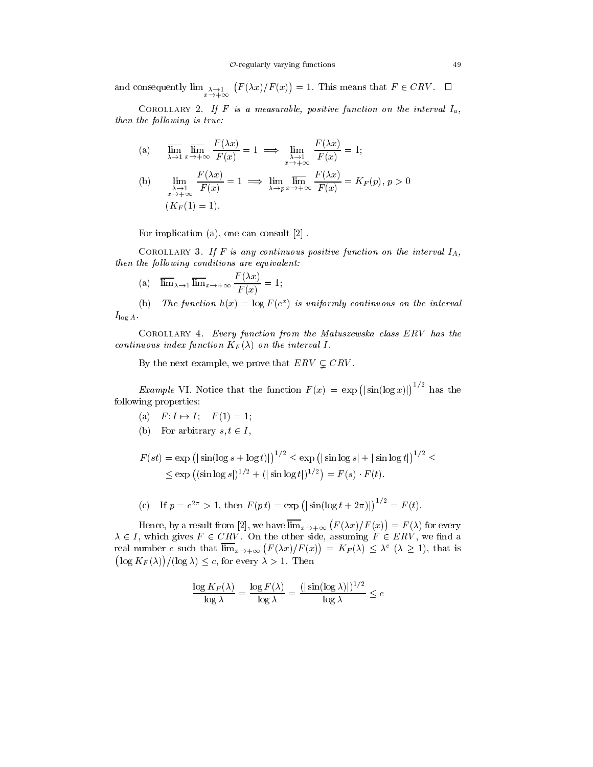and consequently  $\lim_{x\to+\infty}$   $(F(\lambda x)/F(x))=1$ . This means that  $F\in CRV$ .  $\Box$ 

COROLLARY 2. If F is a measurable, positive function on the interval  $I_a$ , then the following is true:

(a) 
$$
\overline{\lim}_{\lambda \to 1} \overline{\lim}_{x \to +\infty} \frac{F(\lambda x)}{F(x)} = 1 \implies \lim_{\substack{\lambda \to 1 \\ x \to +\infty}} \frac{F(\lambda x)}{F(x)} = 1;
$$
  
\n(b) 
$$
\lim_{\substack{\lambda \to 1 \\ x \to +\infty}} \frac{F(\lambda x)}{F(x)} = 1 \implies \lim_{\lambda \to p} \overline{\lim}_{x \to +\infty} \frac{F(\lambda x)}{F(x)} = K_F(p), p > 0
$$
  
\n
$$
(K_F(1) = 1).
$$

For implication (a), one can consult [2] .

COROLLARY 3. If F is any continuous positive function on the interval  $I_A$ , then the following conditions are equivalent:

(a) 
$$
\overline{\lim}_{\lambda \to 1} \overline{\lim}_{x \to +\infty} \frac{F(\lambda x)}{F(x)} = 1;
$$

(b) The function  $h(x) = \log F(e)$  is uniformly continuous on the interval  $I_{\log A}$ .<br>COROLLARY 4. Every function from the Matuszewska class ERV has the

continuous index function  $K_F(\lambda)$  on the interval I.

By the next example, we prove that  $ERV \subset \mathbb{C}RV$ .

*Example* VI. Notice that the function  $F(x) = \exp(|\sin(\log x)|)^{1/2}$  has the following properties:

- (a)  $F: I \mapsto I; \quad F(1) = 1;$
- (b) For arbitrary  $s, t \in I$ ,

$$
F(st) = \exp\left(|\sin(\log s + \log t)|\right)^{1/2} \le \exp\left(|\sin\log s| + |\sin\log t|\right)^{1/2} \le
$$
  
\$\le \exp\left((\sin\log s)|^{1/2} + (|\sin\log t|)^{1/2}\right) = F(s) \cdot F(t).

(c) If 
$$
p = e^{2\pi} > 1
$$
, then  $F(pt) = \exp(|\sin(\log t + 2\pi)|)^{1/2} = F(t)$ .

Hence, by a result from [2], we have  $\overline{\lim}_{x\to+\infty}$   $(F(\lambda x)/F(x))=F(\lambda)$  for every  $\lambda \in I$ , which gives  $F \in CRV$ . On the other side, assuming  $F \in ERV$ , we find a real number c such that  $\lim_{x\to+\infty} (F(\lambda x)/F(x)) = K_F(\lambda) \leq \lambda^c (\lambda \geq 1)$ , that is  $\left(\log K_F(\lambda)\right)/(\log \lambda) \leq c$ , for every  $\lambda > 1$ . Then

$$
\frac{\log K_F(\lambda)}{\log \lambda} = \frac{\log F(\lambda)}{\log \lambda} = \frac{(|\sin(\log \lambda)|)^{1/2}}{\log \lambda} \le c
$$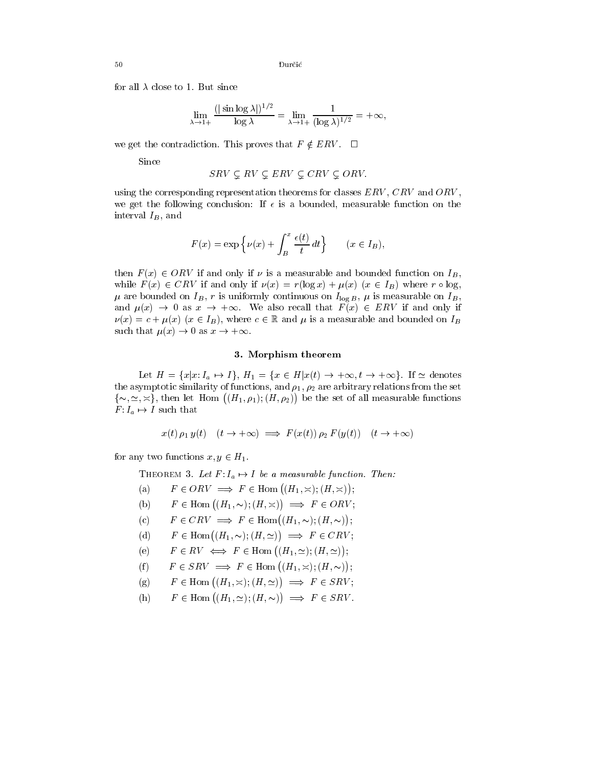for all  $\lambda$  close to 1. But since

$$
\lim_{\lambda \to 1+} \frac{(|\sin \log \lambda|)^{1/2}}{\log \lambda} = \lim_{\lambda \to 1+} \frac{1}{(\log \lambda)^{1/2}} = +\infty,
$$

we get the contradiction. This proves that  $F \notin ERV$ .  $\Box$ 

Since

$$
SRV \subseteq RV \subseteq ERV \subseteq CRV \subseteq ORV.
$$

using the corresponding representation theorems for classes  $ERV$ ,  $CRV$  and  $ORV$ , we get the following conclusion: If  $\epsilon$  is a bounded, measurable function on the interval  $I_B$ , and

$$
F(x) = \exp\left\{\nu(x) + \int_B^x \frac{\epsilon(t)}{t} dt\right\} \qquad (x \in I_B),
$$

then  $F(x) \in ORV$  if and only if  $\nu$  is a measurable and bounded function on  $I_B$ , while  $F(x) \in CRV$  if and only if  $\nu(x) = r(\log x) + \mu(x)$   $(x \in I_B)$  where  $r \circ \log s$ .  $\mu$  are bounded on  $I_B$ , r is uniformly continuous on  $I_{\log B}$ ,  $\mu$  is measurable on  $I_B$ , and  $\mu(x) \to 0$  as  $x \to +\infty$ . We also recall that  $F(x) \in ERV$  if and only if  $\nu(x) = c + \mu(x)$   $(x \in I_B)$ , where  $c \in \mathbb{R}$  and  $\mu$  is a measurable and bounded on  $I_B$ such that  $\mu(x) \to 0$  as  $x \to +\infty$ .

## 3. Morphism theorem

Let  $H = \{x | x: I_a \mapsto I\}$ ,  $H_1 = \{x \in H | x(t) \to +\infty, t \to +\infty\}$ . If  $\simeq$  denotes the asymptotic similarity of functions, and  $\rho_1$ ,  $\rho_2$  are arbitrary relations from the set  $\{\sim, \simeq, \simeq\}$ , then let Hom  $((H_1, \rho_1); (H, \rho_2))$  be the set of all measurable functions  $F: I_a \mapsto I$  such that

$$
x(t) \rho_1 y(t) \quad (t \to +\infty) \implies F(x(t)) \rho_2 F(y(t)) \quad (t \to +\infty)
$$

for any two functions  $x, y \in H_1$ .

- THEOREM 3. Let  $F: I_a \mapsto I$  be a measurable function. Then:
- (a)  $F \in ORV \implies F \in \text{Hom}((H_1, \times); (H, \times))$ ;
- (b)  $F \in \text{Hom}((H_1, \sim); (H, \asymp)) \implies F \in ORV;$
- (c)  $F \in CRV \implies F \in \text{Hom}((H_1, \sim); (H, \sim));$
- (d)  $F \in \text{Hom}((H_1, \sim); (H, \simeq)) \implies F \in CRV;$
- (e)  $F \in RV \iff F \in \text{Hom}((H_1, \simeq); (H, \simeq));$
- (f)  $F \in SRV \implies F \in \text{Hom}((H_1, \times); (H, \sim))$ ;
- (g)  $F \in \text{Hom}((H_1, \times); (H, \simeq)) \implies F \in SRV;$
- (h)  $F \in \text{Hom}((H_1, \simeq); (H, \sim)) \implies F \in SRV$ .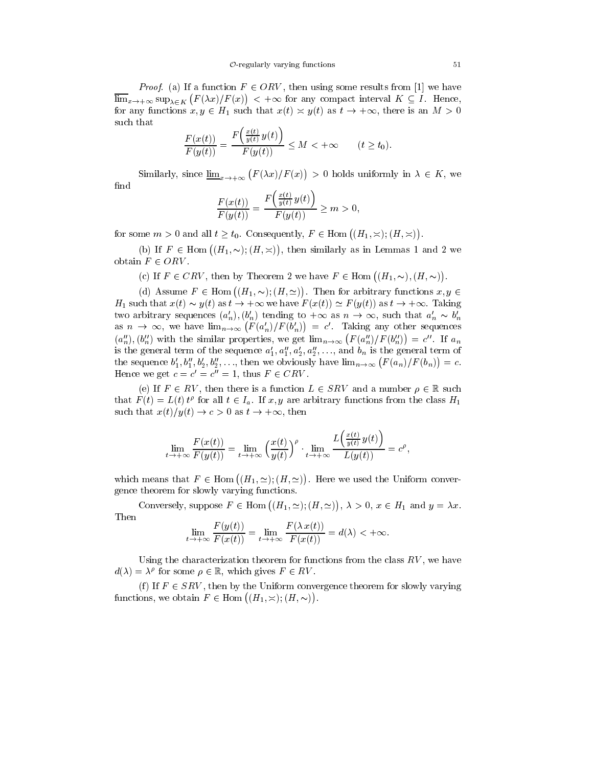*Proof.* (a) If a function  $F \in ORV$ , then using some results from [1] we have  $\overline{\lim}_{x\to+\infty}$  sup<sub> $\lambda \in K$ </sub>  $(F(\lambda x)/F(x)) < +\infty$  for any compact interval  $K \subseteq I$ . Hence, for any functions  $x, y \in H_1$  such that  $x(t) \approx y(t)$  as  $t \to +\infty$ , there is an  $M > 0$ such that

$$
\frac{F(x(t))}{F(y(t))} = \frac{F\left(\frac{x(t)}{y(t)}y(t)\right)}{F(y(t))} \le M < +\infty \qquad (t \ge t_0).
$$

Similarly, since  $\underline{\lim}_{x\to+\infty}$   $(F(\lambda x)/F(x)) > 0$  holds uniformly in  $\lambda \in K$ , we find 

$$
\frac{F(x(t))}{F(y(t))} = \frac{F\left(\frac{x(t)}{y(t)}y(t)\right)}{F(y(t))} \ge m > 0,
$$

for some  $m > 0$  and all  $t \ge t_0$ . Consequently,  $F \in$  Hom  $((H_1, \times); (H, \times))$ .

(b) If  $F \in$  Hom  $((H_1, \sim); (H, \times))$ , then similarly as in Lemmas 1 and 2 we obtain  $F \in ORV$ .

(c) If  $F \in CRV$ , then by Theorem 2 we have  $F \in \text{Hom}((H_1, \sim), (H, \sim))$ .

(d) Assume  $F \in$  Hom  $((H_1, \sim); (H, \simeq))$ . Then for arbitrary functions  $x, y \in$  $H_1$  such that  $x(t) \sim y(t)$  as  $t \to +\infty$  we have  $F(x(t)) \simeq F(y(t))$  as  $t \to +\infty$ . Taking two arbitrary sequences  $(a'_n)$ ,  $(b'_n)$  tending to  $+\infty$  as  $n \to \infty$ , such that  $a'_n \sim b'_n$ as  $n \to \infty$ , we have  $\lim_{n \to \infty} (F(a'_n)/F(b'_n)) = c'$ . Taking any other sequences  $(a'_n), (b''_n)$  with the similar properties, we get  $\lim_{n\to\infty} (F(a''_n)/F(b''_n)) = c''$ . If  $a_n$ is the general term of the sequence  $a'_1, a''_1, a'_2, a''_2, \ldots$ , and  $b_n$  is the general term of the sequence  $b'_1, b''_1, b'_2, b''_2, \ldots$ , then we obviously have  $\lim_{n\to\infty} (F(a_n)/F(b_n)) = c$ . Hence we get  $c = c' = c'' = 1$ , thus  $F \in \mathcal{C}$ 

(e) If  $F \in RV$ , then there is a function  $L \in SRV$  and a number  $\rho \in \mathbb{R}$  such that  $F(t) = L(t) t^{\rho}$  for all  $t \in I_a$ . If  $x, y$  are arbitrary functions from the class  $H_1$ such that  $x(t)/y(t) \to c > 0$  as  $t \to +\infty$ , then

$$
\lim_{t\to+\infty}\frac{F(x(t))}{F(y(t))}=\lim_{t\to+\infty}\left(\frac{x(t)}{y(t)}\right)^{\rho}\cdot\lim_{t\to+\infty}\frac{L\left(\frac{x(t)}{y(t)}\,y(t)\right)}{L(y(t))}=c^{\rho},
$$

which means that  $F \in \text{Hom}((H_1, \simeq); (H, \simeq))$ . Here we used the Uniform convergence theorem for slowly varying functions.

Conversely, suppose  $F \in$  Hom  $((H_1, \simeq); (H, \simeq)), \lambda > 0, x \in H_1$  and  $y = \lambda x$ . Then

$$
\lim_{t \to +\infty} \frac{F(y(t))}{F(x(t))} = \lim_{t \to +\infty} \frac{F(\lambda x(t))}{F(x(t))} = d(\lambda) < +\infty.
$$

Using the characterization theorem for functions from the class  $RV$ , we have  $d(\lambda) = \lambda^{\nu}$  for some  $\rho \in \mathbb{R}$ , which gives  $F \in RV$ .

(f) If  $F \in SRV$ , then by the Uniform convergence theorem for slowly varying functions, we obtain  $F \in \text{Hom } ((H_1, \times); (H, \sim))$ .